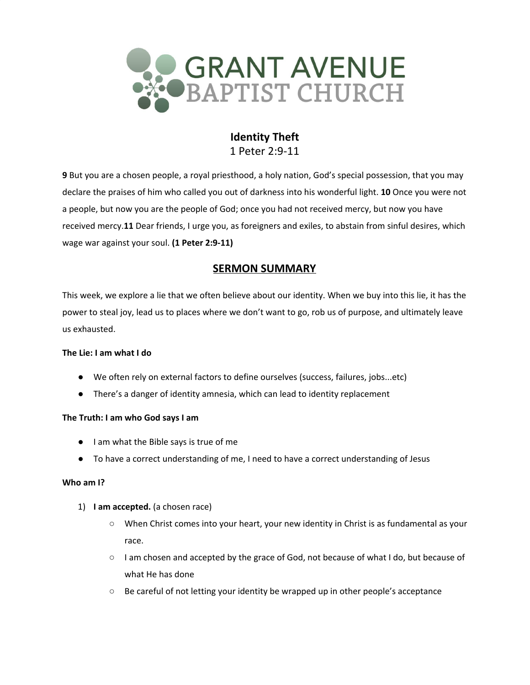

# **Identity Theft** 1 Peter 2:9-11

**9** But you are a chosen people, a royal priesthood, a holy nation, God's special possession, that you may declare the praises of him who called you out of darkness into his wonderful light. **10** Once you were not a people, but now you are the people of God; once you had not received mercy, but now you have received mercy.**11** Dear friends, I urge you, as foreigners and exiles, to abstain from sinful desires, which wage war against your soul. **(1 Peter 2:9-11)**

# **SERMON SUMMARY**

This week, we explore a lie that we often believe about our identity. When we buy into this lie, it has the power to steal joy, lead us to places where we don't want to go, rob us of purpose, and ultimately leave us exhausted.

### **The Lie: I am what I do**

- We often rely on external factors to define ourselves (success, failures, jobs...etc)
- There's a danger of identity amnesia, which can lead to identity replacement

### **The Truth: I am who God says I am**

- I am what the Bible says is true of me
- To have a correct understanding of me, I need to have a correct understanding of Jesus

### **Who am I?**

- 1) **I am accepted.** (a chosen race)
	- When Christ comes into your heart, your new identity in Christ is as fundamental as your race.
	- I am chosen and accepted by the grace of God, not because of what I do, but because of what He has done
	- $\circ$  Be careful of not letting your identity be wrapped up in other people's acceptance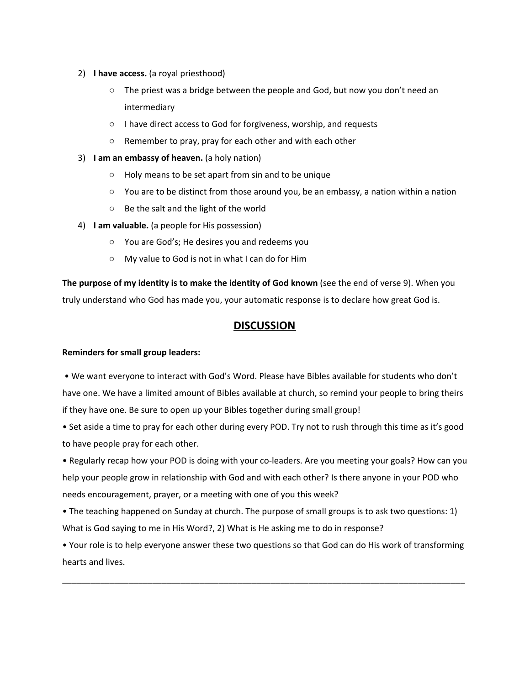### 2) **I have access.** (a royal priesthood)

- The priest was a bridge between the people and God, but now you don't need an intermediary
- I have direct access to God for forgiveness, worship, and requests
- Remember to pray, pray for each other and with each other
- 3) **I am an embassy of heaven.** (a holy nation)
	- Holy means to be set apart from sin and to be unique
	- You are to be distinct from those around you, be an embassy, a nation within a nation
	- Be the salt and the light of the world
- 4) **I am valuable.** (a people for His possession)
	- You are God's; He desires you and redeems you
	- My value to God is not in what I can do for Him

**The purpose of my identity is to make the identity of God known** (see the end of verse 9). When you truly understand who God has made you, your automatic response is to declare how great God is.

# **DISCUSSION**

### **Reminders for small group leaders:**

• We want everyone to interact with God's Word. Please have Bibles available for students who don't have one. We have a limited amount of Bibles available at church, so remind your people to bring theirs if they have one. Be sure to open up your Bibles together during small group!

• Set aside a time to pray for each other during every POD. Try not to rush through this time as it's good to have people pray for each other.

• Regularly recap how your POD is doing with your co-leaders. Are you meeting your goals? How can you help your people grow in relationship with God and with each other? Is there anyone in your POD who needs encouragement, prayer, or a meeting with one of you this week?

• The teaching happened on Sunday at church. The purpose of small groups is to ask two questions: 1) What is God saying to me in His Word?, 2) What is He asking me to do in response?

• Your role is to help everyone answer these two questions so that God can do His work of transforming hearts and lives.

\_\_\_\_\_\_\_\_\_\_\_\_\_\_\_\_\_\_\_\_\_\_\_\_\_\_\_\_\_\_\_\_\_\_\_\_\_\_\_\_\_\_\_\_\_\_\_\_\_\_\_\_\_\_\_\_\_\_\_\_\_\_\_\_\_\_\_\_\_\_\_\_\_\_\_\_\_\_\_\_\_\_\_\_\_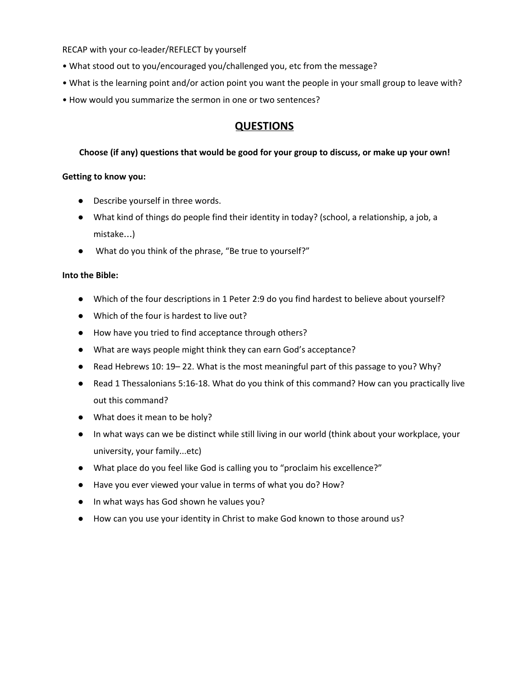RECAP with your co-leader/REFLECT by yourself

- What stood out to you/encouraged you/challenged you, etc from the message?
- What is the learning point and/or action point you want the people in your small group to leave with?
- How would you summarize the sermon in one or two sentences?

## **QUESTIONS**

#### **Choose (if any) questions that would be good for your group to discuss, or make up your own!**

#### **Getting to know you:**

- Describe yourself in three words.
- What kind of things do people find their identity in today? (school, a relationship, a job, a mistake…)
- What do you think of the phrase, "Be true to yourself?"

#### **Into the Bible:**

- Which of the four descriptions in 1 Peter 2:9 do you find hardest to believe about yourself?
- Which of the four is hardest to live out?
- How have you tried to find acceptance through others?
- What are ways people might think they can earn God's acceptance?
- Read Hebrews 10: 19 22. What is the most meaningful part of this passage to you? Why?
- Read 1 Thessalonians 5:16-18. What do you think of this command? How can you practically live out this command?
- What does it mean to be holy?
- In what ways can we be distinct while still living in our world (think about your workplace, your university, your family...etc)
- What place do you feel like God is calling you to "proclaim his excellence?"
- Have you ever viewed your value in terms of what you do? How?
- In what ways has God shown he values you?
- How can you use your identity in Christ to make God known to those around us?